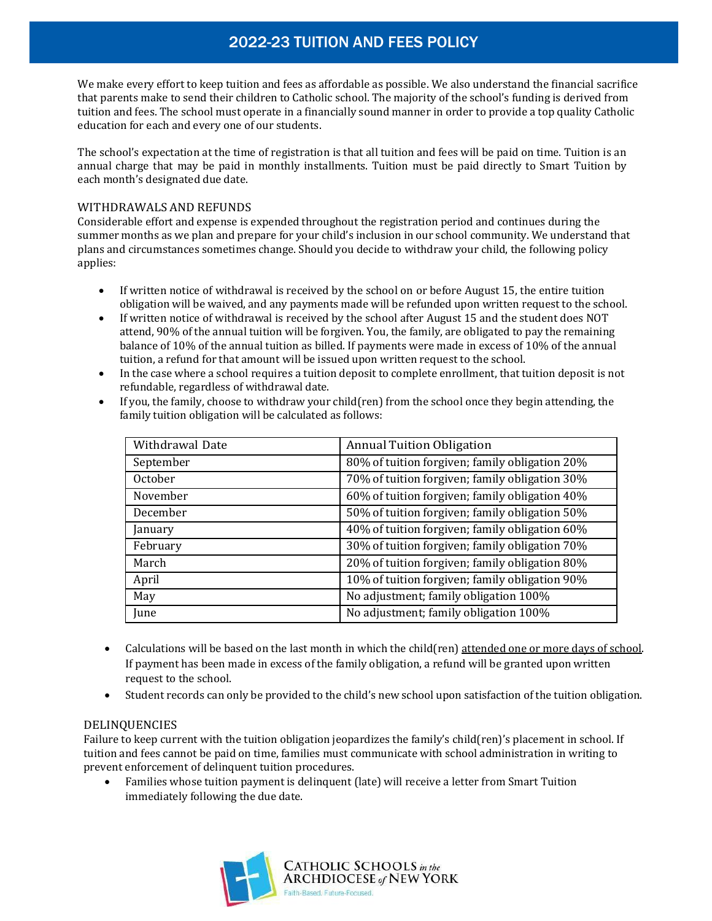## 2022-23 TUITION AND FEES POLICY

We make every effort to keep tuition and fees as affordable as possible. We also understand the financial sacrifice that parents make to send their children to Catholic school. The majority of the school's funding is derived from tuition and fees. The school must operate in a financially sound manner in order to provide a top quality Catholic education for each and every one of our students.

The school's expectation at the time of registration is that all tuition and fees will be paid on time. Tuition is an annual charge that may be paid in monthly installments. Tuition must be paid directly to Smart Tuition by each month's designated due date.

### WITHDRAWALS AND REFUNDS

Considerable effort and expense is expended throughout the registration period and continues during the summer months as we plan and prepare for your child's inclusion in our school community. We understand that plans and circumstances sometimes change. Should you decide to withdraw your child, the following policy applies:

- If written notice of withdrawal is received by the school on or before August 15, the entire tuition obligation will be waived, and any payments made will be refunded upon written request to the school.
- If written notice of withdrawal is received by the school after August 15 and the student does NOT attend, 90% of the annual tuition will be forgiven. You, the family, are obligated to pay the remaining balance of 10% of the annual tuition as billed. If payments were made in excess of 10% of the annual tuition, a refund for that amount will be issued upon written request to the school.
- In the case where a school requires a tuition deposit to complete enrollment, that tuition deposit is not refundable, regardless of withdrawal date.

| Withdrawal Date | <b>Annual Tuition Obligation</b>               |
|-----------------|------------------------------------------------|
| September       | 80% of tuition forgiven; family obligation 20% |
| October         | 70% of tuition forgiven; family obligation 30% |
| November        | 60% of tuition forgiven; family obligation 40% |
| December        | 50% of tuition forgiven; family obligation 50% |
| January         | 40% of tuition forgiven; family obligation 60% |
| February        | 30% of tuition forgiven; family obligation 70% |
| March           | 20% of tuition forgiven; family obligation 80% |
| April           | 10% of tuition forgiven; family obligation 90% |
| May             | No adjustment; family obligation 100%          |

If you, the family, choose to withdraw your child(ren) from the school once they begin attending, the

- Calculations will be based on the last month in which the child(ren) attended one or more days of school. If payment has been made in excess of the family obligation, a refund will be granted upon written request to the school.
- Student records can only be provided to the child's new school upon satisfaction of the tuition obligation.

#### DELINQUENCIES

Failure to keep current with the tuition obligation jeopardizes the family's child(ren)'s placement in school. If tuition and fees cannot be paid on time, families must communicate with school administration in writing to prevent enforcement of delinquent tuition procedures.

 Families whose tuition payment is delinquent (late) will receive a letter from Smart Tuition immediately following the due date.

June No adjustment; family obligation 100%